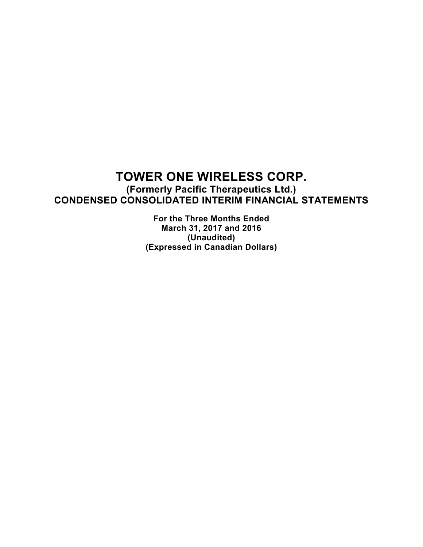**(Formerly Pacific Therapeutics Ltd.) CONDENSED CONSOLIDATED INTERIM FINANCIAL STATEMENTS**

> **For the Three Months Ended March 31, 2017 and 2016 (Unaudited) (Expressed in Canadian Dollars)**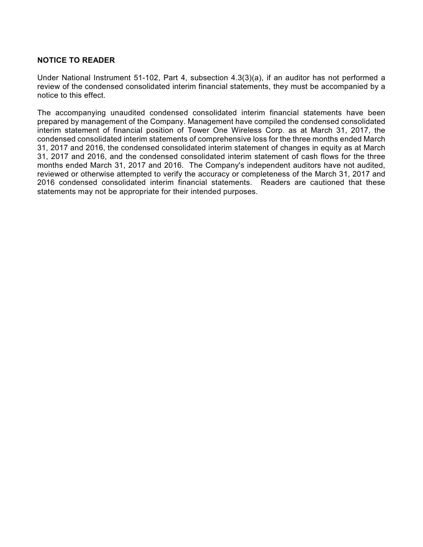## **NOTICE TO READER**

Under National Instrument 51-102, Part 4, subsection 4.3(3)(a), if an auditor has not performed a review of the condensed consolidated interim financial statements, they must be accompanied by a notice to this effect.

The accompanying unaudited condensed consolidated interim financial statements have been prepared by management of the Company. Management have compiled the condensed consolidated interim statement of financial position of Tower One Wireless Corp. as at March 31, 2017, the condensed consolidated interim statements of comprehensive loss for the three months ended March 31, 2017 and 2016, the condensed consolidated interim statement of changes in equity as at March 31, 2017 and 2016, and the condensed consolidated interim statement of cash flows for the three months ended March 31, 2017 and 2016. The Company's independent auditors have not audited, reviewed or otherwise attempted to verify the accuracy or completeness of the March 31, 2017 and 2016 condensed consolidated interim financial statements. Readers are cautioned that these statements may not be appropriate for their intended purposes.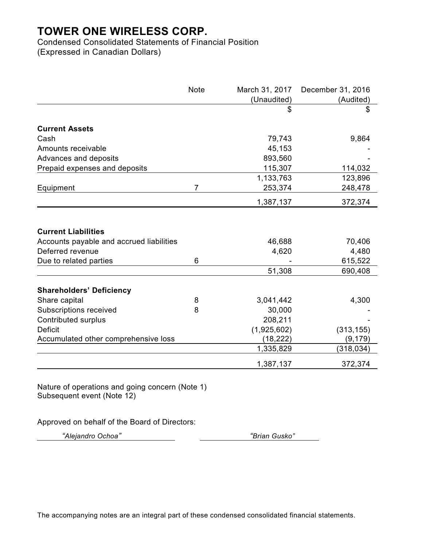Condensed Consolidated Statements of Financial Position (Expressed in Canadian Dollars)

|                                                              | <b>Note</b> | March 31, 2017<br>(Unaudited) | December 31, 2016<br>(Audited) |
|--------------------------------------------------------------|-------------|-------------------------------|--------------------------------|
|                                                              |             | \$                            | \$                             |
| <b>Current Assets</b>                                        |             |                               |                                |
| Cash                                                         |             | 79,743                        | 9,864                          |
| Amounts receivable                                           |             | 45,153                        |                                |
| Advances and deposits                                        |             | 893,560                       |                                |
| Prepaid expenses and deposits                                |             | 115,307                       | 114,032                        |
|                                                              |             | 1,133,763                     | 123,896                        |
| Equipment                                                    | 7           | 253,374                       | 248,478                        |
|                                                              |             | 1,387,137                     | 372,374                        |
| <b>Current Liabilities</b>                                   |             |                               |                                |
|                                                              |             | 46,688                        | 70,406                         |
| Accounts payable and accrued liabilities<br>Deferred revenue |             | 4,620                         | 4,480                          |
| Due to related parties                                       | 6           |                               | 615,522                        |
|                                                              |             | 51,308                        | 690,408                        |
|                                                              |             |                               |                                |
| <b>Shareholders' Deficiency</b>                              |             |                               |                                |
| Share capital                                                | 8           | 3,041,442                     | 4,300                          |
| Subscriptions received                                       | 8           | 30,000                        |                                |
| <b>Contributed surplus</b>                                   |             | 208,211                       |                                |
| <b>Deficit</b>                                               |             | (1,925,602)                   | (313, 155)                     |
| Accumulated other comprehensive loss                         |             | (18, 222)                     | (9, 179)                       |
|                                                              |             | 1,335,829                     | (318, 034)                     |
|                                                              |             | 1,387,137                     | 372,374                        |

Nature of operations and going concern (Note 1) Subsequent event (Note 12)

Approved on behalf of the Board of Directors:

*"Alejandro Ochoa" "Brian Gusko"*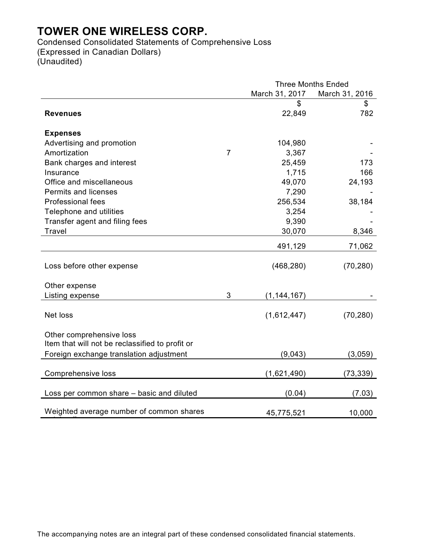outstanding

Condensed Consolidated Statements of Comprehensive Loss (Expressed in Canadian Dollars) (Unaudited)

|                                                 |                | <b>Three Months Ended</b>        |           |  |
|-------------------------------------------------|----------------|----------------------------------|-----------|--|
|                                                 |                | March 31, 2017<br>March 31, 2016 |           |  |
|                                                 |                | S                                | \$        |  |
| <b>Revenues</b>                                 |                | 22,849                           | 782       |  |
| <b>Expenses</b>                                 |                |                                  |           |  |
| Advertising and promotion                       |                | 104,980                          |           |  |
| Amortization                                    | $\overline{7}$ | 3,367                            |           |  |
| Bank charges and interest                       |                | 25,459                           | 173       |  |
| Insurance                                       |                | 1,715                            | 166       |  |
| Office and miscellaneous                        |                | 49,070                           | 24,193    |  |
| <b>Permits and licenses</b>                     |                | 7,290                            |           |  |
| <b>Professional fees</b>                        |                | 256,534                          | 38,184    |  |
| Telephone and utilities                         |                | 3,254                            |           |  |
| Transfer agent and filing fees                  |                | 9,390                            |           |  |
| <b>Travel</b>                                   |                | 30,070                           | 8,346     |  |
|                                                 |                | 491,129                          | 71,062    |  |
|                                                 |                |                                  |           |  |
| Loss before other expense                       |                | (468, 280)                       | (70, 280) |  |
|                                                 |                |                                  |           |  |
| Other expense                                   | 3              |                                  |           |  |
| Listing expense                                 |                | (1, 144, 167)                    |           |  |
| Net loss                                        |                | (1,612,447)                      | (70, 280) |  |
|                                                 |                |                                  |           |  |
| Other comprehensive loss                        |                |                                  |           |  |
| Item that will not be reclassified to profit or |                |                                  |           |  |
| Foreign exchange translation adjustment         |                | (9,043)                          | (3,059)   |  |
|                                                 |                |                                  |           |  |
| Comprehensive loss                              |                | (1,621,490)                      | (73, 339) |  |
| Loss per common share - basic and diluted       |                | (0.04)                           | (7.03)    |  |
|                                                 |                |                                  |           |  |
| Weighted average number of common shares        |                | 45,775,521                       | 10,000    |  |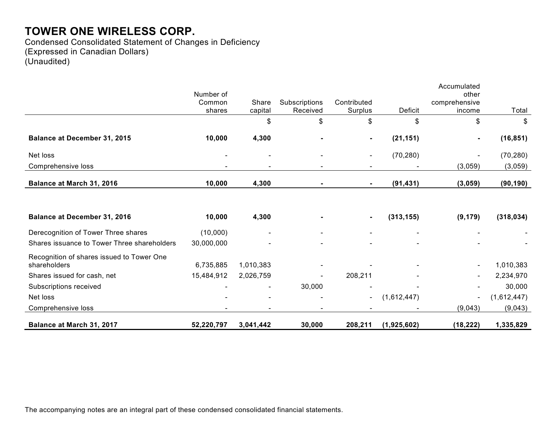Condensed Consolidated Statement of Changes in Deficiency (Expressed in Canadian Dollars) (Unaudited)

|                                             | Number of  |           |               |                |             | Accumulated<br>other |             |
|---------------------------------------------|------------|-----------|---------------|----------------|-------------|----------------------|-------------|
|                                             | Common     | Share     | Subscriptions | Contributed    |             | comprehensive        |             |
|                                             | shares     | capital   | Received      | Surplus        | Deficit     | income               | Total       |
|                                             |            | \$        | \$            | \$             | \$          | \$                   | \$          |
| Balance at December 31, 2015                | 10,000     | 4,300     |               |                | (21, 151)   |                      | (16, 851)   |
| Net loss                                    |            |           |               |                | (70, 280)   |                      | (70, 280)   |
| Comprehensive loss                          |            |           |               |                |             | (3,059)              | (3,059)     |
| Balance at March 31, 2016                   | 10,000     | 4,300     |               |                | (91, 431)   | (3,059)              | (90, 190)   |
|                                             |            |           |               |                |             |                      |             |
| Balance at December 31, 2016                | 10,000     | 4,300     |               |                | (313, 155)  | (9, 179)             | (318, 034)  |
| Derecognition of Tower Three shares         | (10,000)   |           |               |                |             |                      |             |
| Shares issuance to Tower Three shareholders | 30,000,000 |           |               |                |             |                      |             |
| Recognition of shares issued to Tower One   |            |           |               |                |             |                      |             |
| shareholders                                | 6,735,885  | 1,010,383 |               |                |             |                      | 1,010,383   |
| Shares issued for cash, net                 | 15,484,912 | 2,026,759 |               | 208,211        |             | $\blacksquare$       | 2,234,970   |
| Subscriptions received                      |            |           | 30,000        |                |             |                      | 30,000      |
| Net loss                                    |            |           |               | $\blacksquare$ | (1,612,447) |                      | (1,612,447) |
| Comprehensive loss                          |            |           |               |                |             | (9,043)              | (9,043)     |
| Balance at March 31, 2017                   | 52,220,797 | 3,041,442 | 30,000        | 208,211        | (1,925,602) | (18, 222)            | 1,335,829   |

The accompanying notes are an integral part of these condensed consolidated financial statements.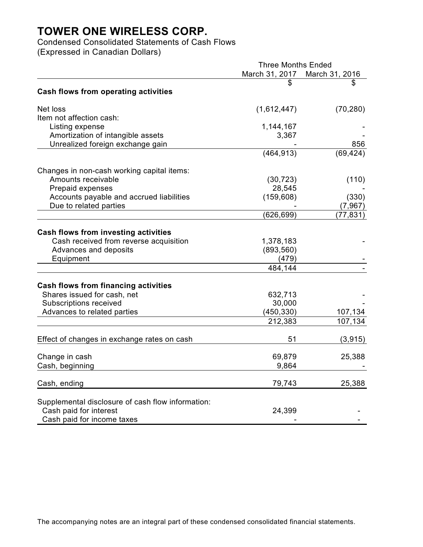Condensed Consolidated Statements of Cash Flows (Expressed in Canadian Dollars)

Three Months Ended March 31, 2017 March 31, 2016  $\textcircled{\scriptsize\texttt{s}}$ . **Cash flows from operating activities** Net loss (1,612,447) (70,280) Item not affection cash: Listing expense 1,144,167 Amortization of intangible assets 3,367 Unrealized foreign exchange gain exchange the state of the state of the state of the state of the 856 (464,913) (69,424) Changes in non-cash working capital items: Amounts receivable (30,723) (110) Prepaid expenses 28,545 Accounts payable and accrued liabilities (159,608) (330) Due to related parties (7,967) (626,699) (77,831) **Cash flows from investing activities** Cash received from reverse acquisition 1,378,183 Advances and deposits (893,560) Equipment (479) 484,144 - **Cash flows from financing activities** Shares issued for cash, net 632,713 Subscriptions received 30,000 Advances to related parties (450,330) 107,134 212,383 107,134 Effect of changes in exchange rates on cash 51 (3,915) Change in cash 69,879 25,388 Cash, beginning example of the set of the set of the set of the set of the set of the set of the set of the set of the set of the set of the set of the set of the set of the set of the set of the set of the set of the set Cash, ending 25,388 Supplemental disclosure of cash flow information: Cash paid for interest 24,399 Cash paid for income taxes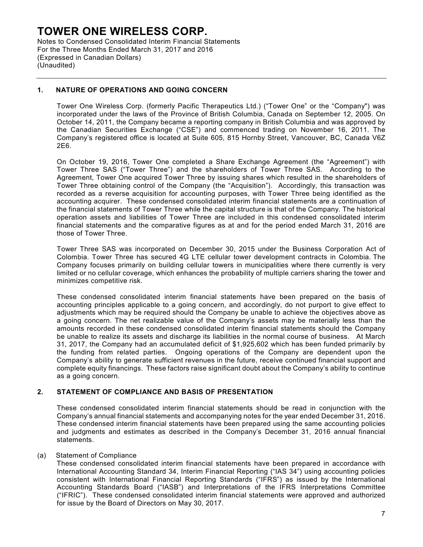Notes to Condensed Consolidated Interim Financial Statements For the Three Months Ended March 31, 2017 and 2016 (Expressed in Canadian Dollars) (Unaudited)

### **1. NATURE OF OPERATIONS AND GOING CONCERN**

Tower One Wireless Corp. (formerly Pacific Therapeutics Ltd.) ("Tower One" or the "Company") was incorporated under the laws of the Province of British Columbia, Canada on September 12, 2005. On October 14, 2011, the Company became a reporting company in British Columbia and was approved by the Canadian Securities Exchange ("CSE") and commenced trading on November 16, 2011. The Company's registered office is located at Suite 605, 815 Hornby Street, Vancouver, BC, Canada V6Z 2E6.

On October 19, 2016, Tower One completed a Share Exchange Agreement (the "Agreement") with Tower Three SAS ("Tower Three") and the shareholders of Tower Three SAS. According to the Agreement, Tower One acquired Tower Three by issuing shares which resulted in the shareholders of Tower Three obtaining control of the Company (the "Acquisition"). Accordingly, this transaction was recorded as a reverse acquisition for accounting purposes, with Tower Three being identified as the accounting acquirer. These condensed consolidated interim financial statements are a continuation of the financial statements of Tower Three while the capital structure is that of the Company. The historical operation assets and liabilities of Tower Three are included in this condensed consolidated interim financial statements and the comparative figures as at and for the period ended March 31, 2016 are those of Tower Three.

Tower Three SAS was incorporated on December 30, 2015 under the Business Corporation Act of Colombia. Tower Three has secured 4G LTE cellular tower development contracts in Colombia. The Company focuses primarily on building cellular towers in municipalities where there currently is very limited or no cellular coverage, which enhances the probability of multiple carriers sharing the tower and minimizes competitive risk.

These condensed consolidated interim financial statements have been prepared on the basis of accounting principles applicable to a going concern, and accordingly, do not purport to give effect to adjustments which may be required should the Company be unable to achieve the objectives above as a going concern. The net realizable value of the Company's assets may be materially less than the amounts recorded in these condensed consolidated interim financial statements should the Company be unable to realize its assets and discharge its liabilities in the normal course of business. At March 31, 2017, the Company had an accumulated deficit of \$1,925,602 which has been funded primarily by the funding from related parties. Ongoing operations of the Company are dependent upon the Company's ability to generate sufficient revenues in the future, receive continued financial support and complete equity financings. These factors raise significant doubt about the Company's ability to continue as a going concern.

### **2. STATEMENT OF COMPLIANCE AND BASIS OF PRESENTATION**

These condensed consolidated interim financial statements should be read in conjunction with the Company's annual financial statements and accompanying notes for the year ended December 31, 2016. These condensed interim financial statements have been prepared using the same accounting policies and judgments and estimates as described in the Company's December 31, 2016 annual financial statements.

#### (a) Statement of Compliance

These condensed consolidated interim financial statements have been prepared in accordance with International Accounting Standard 34, Interim Financial Reporting ("IAS 34") using accounting policies consistent with International Financial Reporting Standards ("IFRS") as issued by the International Accounting Standards Board ("IASB") and Interpretations of the IFRS Interpretations Committee ("IFRIC"). These condensed consolidated interim financial statements were approved and authorized for issue by the Board of Directors on May 30, 2017.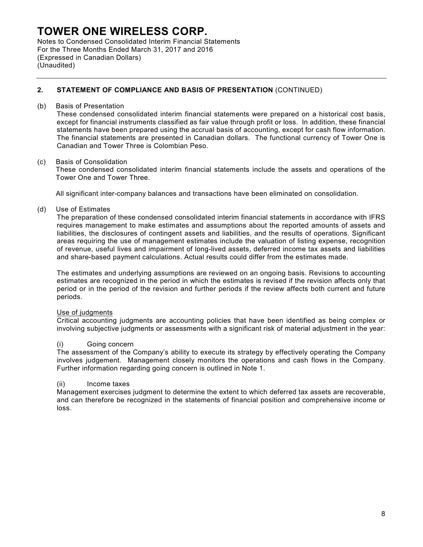Notes to Condensed Consolidated Interim Financial Statements For the Three Months Ended March 31, 2017 and 2016 (Expressed in Canadian Dollars) (Unaudited)

## **2. STATEMENT OF COMPLIANCE AND BASIS OF PRESENTATION** (CONTINUED)

#### (b) Basis of Presentation

These condensed consolidated interim financial statements were prepared on a historical cost basis, except for financial instruments classified as fair value through profit or loss. In addition, these financial statements have been prepared using the accrual basis of accounting, except for cash flow information. The financial statements are presented in Canadian dollars. The functional currency of Tower One is Canadian and Tower Three is Colombian Peso.

### (c) Basis of Consolidation

These condensed consolidated interim financial statements include the assets and operations of the Tower One and Tower Three.

All significant inter-company balances and transactions have been eliminated on consolidation.

### (d) Use of Estimates

The preparation of these condensed consolidated interim financial statements in accordance with IFRS requires management to make estimates and assumptions about the reported amounts of assets and liabilities, the disclosures of contingent assets and liabilities, and the results of operations. Significant areas requiring the use of management estimates include the valuation of listing expense, recognition of revenue, useful lives and impairment of long-lived assets, deferred income tax assets and liabilities and share-based payment calculations. Actual results could differ from the estimates made.

The estimates and underlying assumptions are reviewed on an ongoing basis. Revisions to accounting estimates are recognized in the period in which the estimates is revised if the revision affects only that period or in the period of the revision and further periods if the review affects both current and future periods.

#### Use of judgments

Critical accounting judgments are accounting policies that have been identified as being complex or involving subjective judgments or assessments with a significant risk of material adjustment in the year:

#### (i) Going concern

The assessment of the Company's ability to execute its strategy by effectively operating the Company involves judgement. Management closely monitors the operations and cash flows in the Company. Further information regarding going concern is outlined in Note 1.

#### (ii) Income taxes

Management exercises judgment to determine the extent to which deferred tax assets are recoverable, and can therefore be recognized in the statements of financial position and comprehensive income or loss.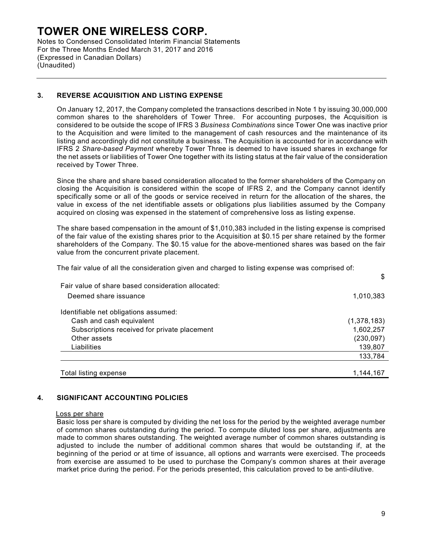Notes to Condensed Consolidated Interim Financial Statements For the Three Months Ended March 31, 2017 and 2016 (Expressed in Canadian Dollars) (Unaudited)

### **3. REVERSE ACQUISITION AND LISTING EXPENSE**

On January 12, 2017, the Company completed the transactions described in Note 1 by issuing 30,000,000 common shares to the shareholders of Tower Three. For accounting purposes, the Acquisition is considered to be outside the scope of IFRS 3 *Business Combinations* since Tower One was inactive prior to the Acquisition and were limited to the management of cash resources and the maintenance of its listing and accordingly did not constitute a business. The Acquisition is accounted for in accordance with IFRS 2 *Share-based Payment* whereby Tower Three is deemed to have issued shares in exchange for the net assets or liabilities of Tower One together with its listing status at the fair value of the consideration received by Tower Three.

Since the share and share based consideration allocated to the former shareholders of the Company on closing the Acquisition is considered within the scope of IFRS 2, and the Company cannot identify specifically some or all of the goods or service received in return for the allocation of the shares, the value in excess of the net identifiable assets or obligations plus liabilities assumed by the Company acquired on closing was expensed in the statement of comprehensive loss as listing expense.

The share based compensation in the amount of \$1,010,383 included in the listing expense is comprised of the fair value of the existing shares prior to the Acquisition at \$0.15 per share retained by the former shareholders of the Company. The \$0.15 value for the above-mentioned shares was based on the fair value from the concurrent private placement.

The fair value of all the consideration given and charged to listing expense was comprised of:

|                                                    | \$          |
|----------------------------------------------------|-------------|
| Fair value of share based consideration allocated: |             |
| Deemed share issuance                              | 1,010,383   |
| Identifiable net obligations assumed:              |             |
| Cash and cash equivalent                           | (1,378,183) |
| Subscriptions received for private placement       | 1,602,257   |
| Other assets                                       | (230, 097)  |
| Liabilities                                        | 139,807     |
|                                                    | 133,784     |
|                                                    |             |
| Total listing expense                              | 1,144,167   |

### **4. SIGNIFICANT ACCOUNTING POLICIES**

#### Loss per share

Basic loss per share is computed by dividing the net loss for the period by the weighted average number of common shares outstanding during the period. To compute diluted loss per share, adjustments are made to common shares outstanding. The weighted average number of common shares outstanding is adjusted to include the number of additional common shares that would be outstanding if, at the beginning of the period or at time of issuance, all options and warrants were exercised. The proceeds from exercise are assumed to be used to purchase the Company's common shares at their average market price during the period. For the periods presented, this calculation proved to be anti-dilutive.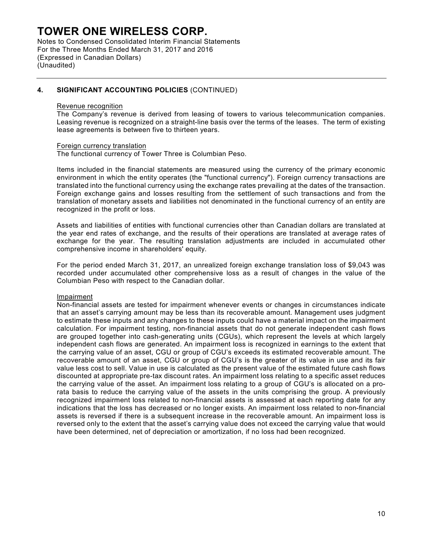Notes to Condensed Consolidated Interim Financial Statements For the Three Months Ended March 31, 2017 and 2016 (Expressed in Canadian Dollars) (Unaudited)

### **4. SIGNIFICANT ACCOUNTING POLICIES** (CONTINUED)

#### Revenue recognition

The Company's revenue is derived from leasing of towers to various telecommunication companies. Leasing revenue is recognized on a straight-line basis over the terms of the leases. The term of existing lease agreements is between five to thirteen years.

#### Foreign currency translation

The functional currency of Tower Three is Columbian Peso.

Items included in the financial statements are measured using the currency of the primary economic environment in which the entity operates (the "functional currency"). Foreign currency transactions are translated into the functional currency using the exchange rates prevailing at the dates of the transaction. Foreign exchange gains and losses resulting from the settlement of such transactions and from the translation of monetary assets and liabilities not denominated in the functional currency of an entity are recognized in the profit or loss.

Assets and liabilities of entities with functional currencies other than Canadian dollars are translated at the year end rates of exchange, and the results of their operations are translated at average rates of exchange for the year. The resulting translation adjustments are included in accumulated other comprehensive income in shareholders' equity.

For the period ended March 31, 2017, an unrealized foreign exchange translation loss of \$9,043 was recorded under accumulated other comprehensive loss as a result of changes in the value of the Columbian Peso with respect to the Canadian dollar.

#### Impairment

Non-financial assets are tested for impairment whenever events or changes in circumstances indicate that an asset's carrying amount may be less than its recoverable amount. Management uses judgment to estimate these inputs and any changes to these inputs could have a material impact on the impairment calculation. For impairment testing, non-financial assets that do not generate independent cash flows are grouped together into cash-generating units (CGUs), which represent the levels at which largely independent cash flows are generated. An impairment loss is recognized in earnings to the extent that the carrying value of an asset, CGU or group of CGU's exceeds its estimated recoverable amount. The recoverable amount of an asset, CGU or group of CGU's is the greater of its value in use and its fair value less cost to sell. Value in use is calculated as the present value of the estimated future cash flows discounted at appropriate pre-tax discount rates. An impairment loss relating to a specific asset reduces the carrying value of the asset. An impairment loss relating to a group of CGU's is allocated on a prorata basis to reduce the carrying value of the assets in the units comprising the group. A previously recognized impairment loss related to non-financial assets is assessed at each reporting date for any indications that the loss has decreased or no longer exists. An impairment loss related to non-financial assets is reversed if there is a subsequent increase in the recoverable amount. An impairment loss is reversed only to the extent that the asset's carrying value does not exceed the carrying value that would have been determined, net of depreciation or amortization, if no loss had been recognized.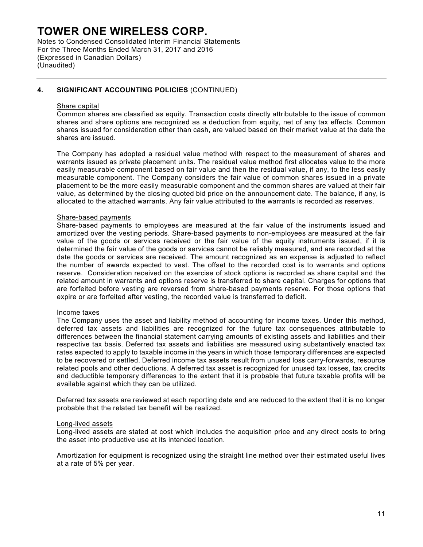Notes to Condensed Consolidated Interim Financial Statements For the Three Months Ended March 31, 2017 and 2016 (Expressed in Canadian Dollars) (Unaudited)

### **4. SIGNIFICANT ACCOUNTING POLICIES** (CONTINUED)

#### Share capital

Common shares are classified as equity. Transaction costs directly attributable to the issue of common shares and share options are recognized as a deduction from equity, net of any tax effects. Common shares issued for consideration other than cash, are valued based on their market value at the date the shares are issued.

The Company has adopted a residual value method with respect to the measurement of shares and warrants issued as private placement units. The residual value method first allocates value to the more easily measurable component based on fair value and then the residual value, if any, to the less easily measurable component. The Company considers the fair value of common shares issued in a private placement to be the more easily measurable component and the common shares are valued at their fair value, as determined by the closing quoted bid price on the announcement date. The balance, if any, is allocated to the attached warrants. Any fair value attributed to the warrants is recorded as reserves.

#### Share-based payments

Share-based payments to employees are measured at the fair value of the instruments issued and amortized over the vesting periods. Share-based payments to non-employees are measured at the fair value of the goods or services received or the fair value of the equity instruments issued, if it is determined the fair value of the goods or services cannot be reliably measured, and are recorded at the date the goods or services are received. The amount recognized as an expense is adjusted to reflect the number of awards expected to vest. The offset to the recorded cost is to warrants and options reserve. Consideration received on the exercise of stock options is recorded as share capital and the related amount in warrants and options reserve is transferred to share capital. Charges for options that are forfeited before vesting are reversed from share-based payments reserve. For those options that expire or are forfeited after vesting, the recorded value is transferred to deficit.

#### Income taxes

The Company uses the asset and liability method of accounting for income taxes. Under this method, deferred tax assets and liabilities are recognized for the future tax consequences attributable to differences between the financial statement carrying amounts of existing assets and liabilities and their respective tax basis. Deferred tax assets and liabilities are measured using substantively enacted tax rates expected to apply to taxable income in the years in which those temporary differences are expected to be recovered or settled. Deferred income tax assets result from unused loss carry-forwards, resource related pools and other deductions. A deferred tax asset is recognized for unused tax losses, tax credits and deductible temporary differences to the extent that it is probable that future taxable profits will be available against which they can be utilized.

Deferred tax assets are reviewed at each reporting date and are reduced to the extent that it is no longer probable that the related tax benefit will be realized.

#### Long-lived assets

Long-lived assets are stated at cost which includes the acquisition price and any direct costs to bring the asset into productive use at its intended location.

Amortization for equipment is recognized using the straight line method over their estimated useful lives at a rate of 5% per year.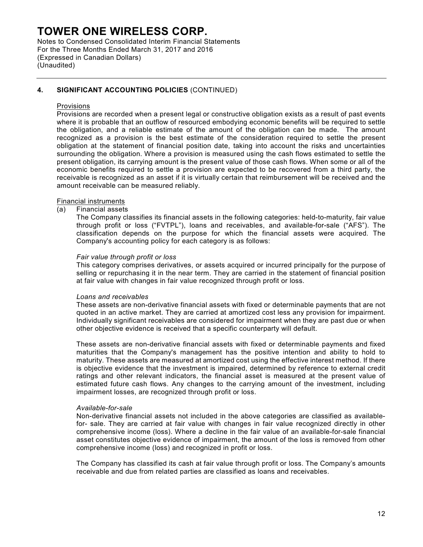Notes to Condensed Consolidated Interim Financial Statements For the Three Months Ended March 31, 2017 and 2016 (Expressed in Canadian Dollars) (Unaudited)

### **4. SIGNIFICANT ACCOUNTING POLICIES** (CONTINUED)

#### Provisions

Provisions are recorded when a present legal or constructive obligation exists as a result of past events where it is probable that an outflow of resourced embodying economic benefits will be required to settle the obligation, and a reliable estimate of the amount of the obligation can be made. The amount recognized as a provision is the best estimate of the consideration required to settle the present obligation at the statement of financial position date, taking into account the risks and uncertainties surrounding the obligation. Where a provision is measured using the cash flows estimated to settle the present obligation, its carrying amount is the present value of those cash flows. When some or all of the economic benefits required to settle a provision are expected to be recovered from a third party, the receivable is recognized as an asset if it is virtually certain that reimbursement will be received and the amount receivable can be measured reliably.

#### Financial instruments

(a) Financial assets

The Company classifies its financial assets in the following categories: held-to-maturity, fair value through profit or loss ("FVTPL"), loans and receivables, and available-for-sale ("AFS"). The classification depends on the purpose for which the financial assets were acquired. The Company's accounting policy for each category is as follows:

#### *Fair value through profit or loss*

This category comprises derivatives, or assets acquired or incurred principally for the purpose of selling or repurchasing it in the near term. They are carried in the statement of financial position at fair value with changes in fair value recognized through profit or loss.

#### *Loans and receivables*

These assets are non-derivative financial assets with fixed or determinable payments that are not quoted in an active market. They are carried at amortized cost less any provision for impairment. Individually significant receivables are considered for impairment when they are past due or when other objective evidence is received that a specific counterparty will default.

These assets are non-derivative financial assets with fixed or determinable payments and fixed maturities that the Company's management has the positive intention and ability to hold to maturity. These assets are measured at amortized cost using the effective interest method. If there is objective evidence that the investment is impaired, determined by reference to external credit ratings and other relevant indicators, the financial asset is measured at the present value of estimated future cash flows. Any changes to the carrying amount of the investment, including impairment losses, are recognized through profit or loss.

#### *Available-for-sale*

Non-derivative financial assets not included in the above categories are classified as availablefor- sale. They are carried at fair value with changes in fair value recognized directly in other comprehensive income (loss). Where a decline in the fair value of an available-for-sale financial asset constitutes objective evidence of impairment, the amount of the loss is removed from other comprehensive income (loss) and recognized in profit or loss.

The Company has classified its cash at fair value through profit or loss. The Company's amounts receivable and due from related parties are classified as loans and receivables.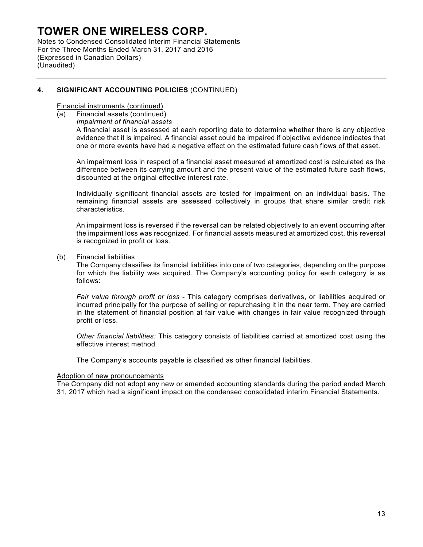Notes to Condensed Consolidated Interim Financial Statements For the Three Months Ended March 31, 2017 and 2016 (Expressed in Canadian Dollars) (Unaudited)

## **4. SIGNIFICANT ACCOUNTING POLICIES** (CONTINUED)

Financial instruments (continued)

- (a) Financial assets (continued)
	- *Impairment of financial assets*

A financial asset is assessed at each reporting date to determine whether there is any objective evidence that it is impaired. A financial asset could be impaired if objective evidence indicates that one or more events have had a negative effect on the estimated future cash flows of that asset.

An impairment loss in respect of a financial asset measured at amortized cost is calculated as the difference between its carrying amount and the present value of the estimated future cash flows, discounted at the original effective interest rate.

Individually significant financial assets are tested for impairment on an individual basis. The remaining financial assets are assessed collectively in groups that share similar credit risk characteristics.

An impairment loss is reversed if the reversal can be related objectively to an event occurring after the impairment loss was recognized. For financial assets measured at amortized cost, this reversal is recognized in profit or loss.

(b) Financial liabilities

The Company classifies its financial liabilities into one of two categories, depending on the purpose for which the liability was acquired. The Company's accounting policy for each category is as follows:

*Fair value through profit or loss* - This category comprises derivatives, or liabilities acquired or incurred principally for the purpose of selling or repurchasing it in the near term. They are carried in the statement of financial position at fair value with changes in fair value recognized through profit or loss.

*Other financial liabilities:* This category consists of liabilities carried at amortized cost using the effective interest method.

The Company's accounts payable is classified as other financial liabilities.

#### Adoption of new pronouncements

The Company did not adopt any new or amended accounting standards during the period ended March 31, 2017 which had a significant impact on the condensed consolidated interim Financial Statements.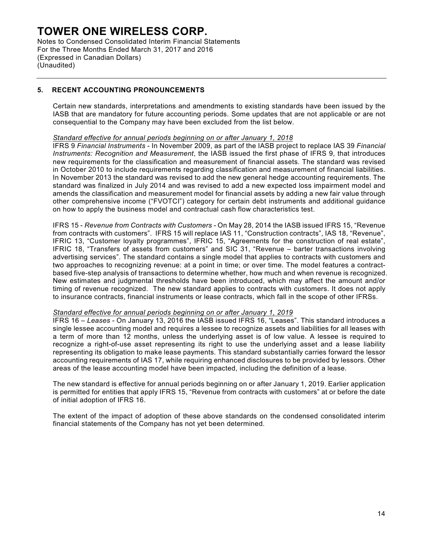Notes to Condensed Consolidated Interim Financial Statements For the Three Months Ended March 31, 2017 and 2016 (Expressed in Canadian Dollars) (Unaudited)

### **5. RECENT ACCOUNTING PRONOUNCEMENTS**

Certain new standards, interpretations and amendments to existing standards have been issued by the IASB that are mandatory for future accounting periods. Some updates that are not applicable or are not consequential to the Company may have been excluded from the list below.

### *Standard effective for annual periods beginning on or after January 1, 2018*

IFRS 9 *Financial Instruments* - In November 2009, as part of the IASB project to replace IAS 39 *Financial Instruments: Recognition and Measurement*, the IASB issued the first phase of IFRS 9, that introduces new requirements for the classification and measurement of financial assets. The standard was revised in October 2010 to include requirements regarding classification and measurement of financial liabilities. In November 2013 the standard was revised to add the new general hedge accounting requirements. The standard was finalized in July 2014 and was revised to add a new expected loss impairment model and amends the classification and measurement model for financial assets by adding a new fair value through other comprehensive income ("FVOTCI") category for certain debt instruments and additional guidance on how to apply the business model and contractual cash flow characteristics test.

IFRS 15 - *Revenue from Contracts with Customers -* On May 28, 2014 the IASB issued IFRS 15, "Revenue from contracts with customers". IFRS 15 will replace IAS 11, "Construction contracts", IAS 18, "Revenue", IFRIC 13, "Customer loyalty programmes", IFRIC 15, "Agreements for the construction of real estate", IFRIC 18, "Transfers of assets from customers" and SIC 31, "Revenue – barter transactions involving advertising services". The standard contains a single model that applies to contracts with customers and two approaches to recognizing revenue: at a point in time; or over time. The model features a contractbased five-step analysis of transactions to determine whether, how much and when revenue is recognized. New estimates and judgmental thresholds have been introduced, which may affect the amount and/or timing of revenue recognized. The new standard applies to contracts with customers. It does not apply to insurance contracts, financial instruments or lease contracts, which fall in the scope of other IFRSs.

#### *Standard effective for annual periods beginning on or after January 1, 2019*

IFRS 16 *– Leases -* On January 13, 2016 the IASB issued IFRS 16, "Leases". This standard introduces a single lessee accounting model and requires a lessee to recognize assets and liabilities for all leases with a term of more than 12 months, unless the underlying asset is of low value. A lessee is required to recognize a right-of-use asset representing its right to use the underlying asset and a lease liability representing its obligation to make lease payments. This standard substantially carries forward the lessor accounting requirements of IAS 17, while requiring enhanced disclosures to be provided by lessors. Other areas of the lease accounting model have been impacted, including the definition of a lease.

The new standard is effective for annual periods beginning on or after January 1, 2019. Earlier application is permitted for entities that apply IFRS 15, "Revenue from contracts with customers" at or before the date of initial adoption of IFRS 16.

The extent of the impact of adoption of these above standards on the condensed consolidated interim financial statements of the Company has not yet been determined.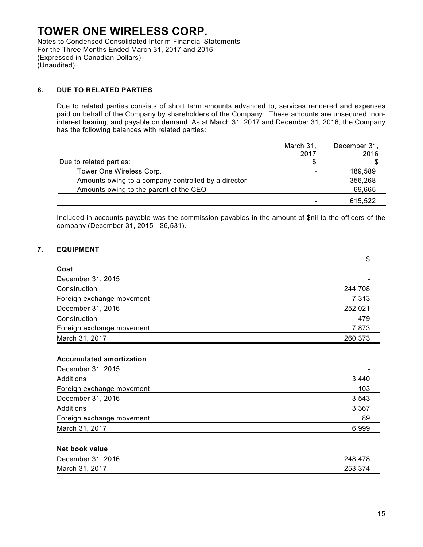Notes to Condensed Consolidated Interim Financial Statements For the Three Months Ended March 31, 2017 and 2016 (Expressed in Canadian Dollars) (Unaudited)

### **6. DUE TO RELATED PARTIES**

Due to related parties consists of short term amounts advanced to, services rendered and expenses paid on behalf of the Company by shareholders of the Company. These amounts are unsecured, noninterest bearing, and payable on demand. As at March 31, 2017 and December 31, 2016, the Company has the following balances with related parties:

|                                                     | March 31, | December 31, |
|-----------------------------------------------------|-----------|--------------|
|                                                     | 2017      | 2016         |
| Due to related parties:                             |           |              |
| Tower One Wireless Corp.                            |           | 189,589      |
| Amounts owing to a company controlled by a director |           | 356,268      |
| Amounts owing to the parent of the CEO              |           | 69,665       |
|                                                     |           | 615,522      |

Included in accounts payable was the commission payables in the amount of \$nil to the officers of the company (December 31, 2015 - \$6,531).

### **7. EQUIPMENT**

|                                 | \$      |
|---------------------------------|---------|
| Cost                            |         |
| December 31, 2015               |         |
| Construction                    | 244,708 |
| Foreign exchange movement       | 7,313   |
| December 31, 2016               | 252,021 |
| Construction                    | 479     |
| Foreign exchange movement       | 7,873   |
| March 31, 2017                  | 260,373 |
|                                 |         |
| <b>Accumulated amortization</b> |         |
| December 31, 2015               |         |
| Additions                       | 3,440   |
| Foreign exchange movement       | 103     |
| December 31, 2016               | 3,543   |
| <b>Additions</b>                | 3,367   |
| Foreign exchange movement       | 89      |
| March 31, 2017                  | 6,999   |
|                                 |         |
| Net book value                  |         |
| December 31, 2016               | 248,478 |
| March 31, 2017                  | 253,374 |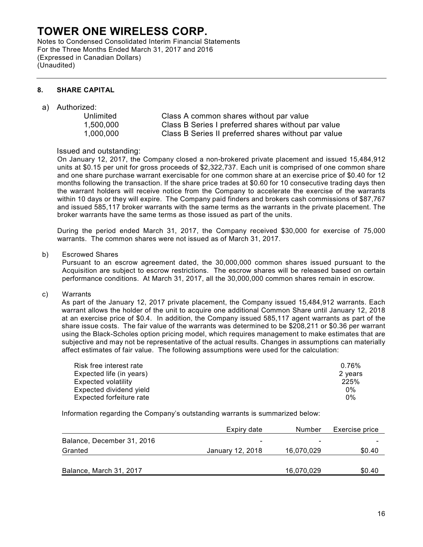Notes to Condensed Consolidated Interim Financial Statements For the Three Months Ended March 31, 2017 and 2016 (Expressed in Canadian Dollars) (Unaudited)

### **8. SHARE CAPITAL**

- a) Authorized:
	-

Unlimited Class A common shares without par value 1,500,000 Class B Series I preferred shares without par value 1,000,000 Class B Series II preferred shares without par value

## Issued and outstanding:

On January 12, 2017, the Company closed a non-brokered private placement and issued 15,484,912 units at \$0.15 per unit for gross proceeds of \$2,322,737. Each unit is comprised of one common share and one share purchase warrant exercisable for one common share at an exercise price of \$0.40 for 12 months following the transaction. If the share price trades at \$0.60 for 10 consecutive trading days then the warrant holders will receive notice from the Company to accelerate the exercise of the warrants within 10 days or they will expire. The Company paid finders and brokers cash commissions of \$87,767 and issued 585,117 broker warrants with the same terms as the warrants in the private placement. The broker warrants have the same terms as those issued as part of the units.

During the period ended March 31, 2017, the Company received \$30,000 for exercise of 75,000 warrants. The common shares were not issued as of March 31, 2017.

b) Escrowed Shares

Pursuant to an escrow agreement dated, the 30,000,000 common shares issued pursuant to the Acquisition are subject to escrow restrictions. The escrow shares will be released based on certain performance conditions. At March 31, 2017, all the 30,000,000 common shares remain in escrow.

c) Warrants

As part of the January 12, 2017 private placement, the Company issued 15,484,912 warrants. Each warrant allows the holder of the unit to acquire one additional Common Share until January 12, 2018 at an exercise price of \$0.4. In addition, the Company issued 585,117 agent warrants as part of the share issue costs. The fair value of the warrants was determined to be \$208,211 or \$0.36 per warrant using the Black-Scholes option pricing model, which requires management to make estimates that are subjective and may not be representative of the actual results. Changes in assumptions can materially affect estimates of fair value. The following assumptions were used for the calculation:

| Risk free interest rate  | 0.76%   |
|--------------------------|---------|
| Expected life (in years) | 2 years |
| Expected volatility      | 225%    |
| Expected dividend yield  | $0\%$   |
| Expected forfeiture rate | $0\%$   |

Information regarding the Company's outstanding warrants is summarized below:

|                            | Expiry date              | Number                   | Exercise price |
|----------------------------|--------------------------|--------------------------|----------------|
| Balance, December 31, 2016 | $\overline{\phantom{0}}$ | $\overline{\phantom{0}}$ |                |
| Granted                    | January 12, 2018         | 16,070,029               | \$0.40         |
|                            |                          |                          |                |
| Balance, March 31, 2017    |                          | 16,070,029               | \$0.40         |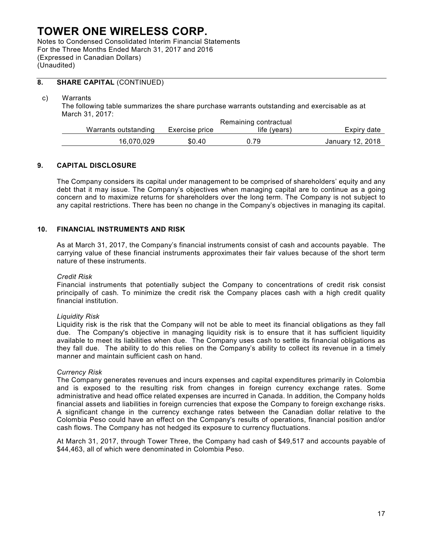Notes to Condensed Consolidated Interim Financial Statements For the Three Months Ended March 31, 2017 and 2016 (Expressed in Canadian Dollars) (Unaudited)

## **8. SHARE CAPITAL** (CONTINUED)

#### c) Warrants

The following table summarizes the share purchase warrants outstanding and exercisable as at March 31, 2017:

|                      |                | Remaining contractual |                  |
|----------------------|----------------|-----------------------|------------------|
| Warrants outstanding | Exercise price | life (vears)          | Expiry date      |
| 16.070.029           | \$0.40         | 0.79                  | January 12, 2018 |

### **9. CAPITAL DISCLOSURE**

The Company considers its capital under management to be comprised of shareholders' equity and any debt that it may issue. The Company's objectives when managing capital are to continue as a going concern and to maximize returns for shareholders over the long term. The Company is not subject to any capital restrictions. There has been no change in the Company's objectives in managing its capital.

### **10. FINANCIAL INSTRUMENTS AND RISK**

As at March 31, 2017, the Company's financial instruments consist of cash and accounts payable. The carrying value of these financial instruments approximates their fair values because of the short term nature of these instruments.

#### *Credit Risk*

Financial instruments that potentially subject the Company to concentrations of credit risk consist principally of cash. To minimize the credit risk the Company places cash with a high credit quality financial institution.

#### *Liquidity Risk*

Liquidity risk is the risk that the Company will not be able to meet its financial obligations as they fall due. The Company's objective in managing liquidity risk is to ensure that it has sufficient liquidity available to meet its liabilities when due. The Company uses cash to settle its financial obligations as they fall due. The ability to do this relies on the Company's ability to collect its revenue in a timely manner and maintain sufficient cash on hand.

#### *Currency Risk*

The Company generates revenues and incurs expenses and capital expenditures primarily in Colombia and is exposed to the resulting risk from changes in foreign currency exchange rates. Some administrative and head office related expenses are incurred in Canada. In addition, the Company holds financial assets and liabilities in foreign currencies that expose the Company to foreign exchange risks. A significant change in the currency exchange rates between the Canadian dollar relative to the Colombia Peso could have an effect on the Company's results of operations, financial position and/or cash flows. The Company has not hedged its exposure to currency fluctuations.

At March 31, 2017, through Tower Three, the Company had cash of \$49,517 and accounts payable of \$44,463, all of which were denominated in Colombia Peso.